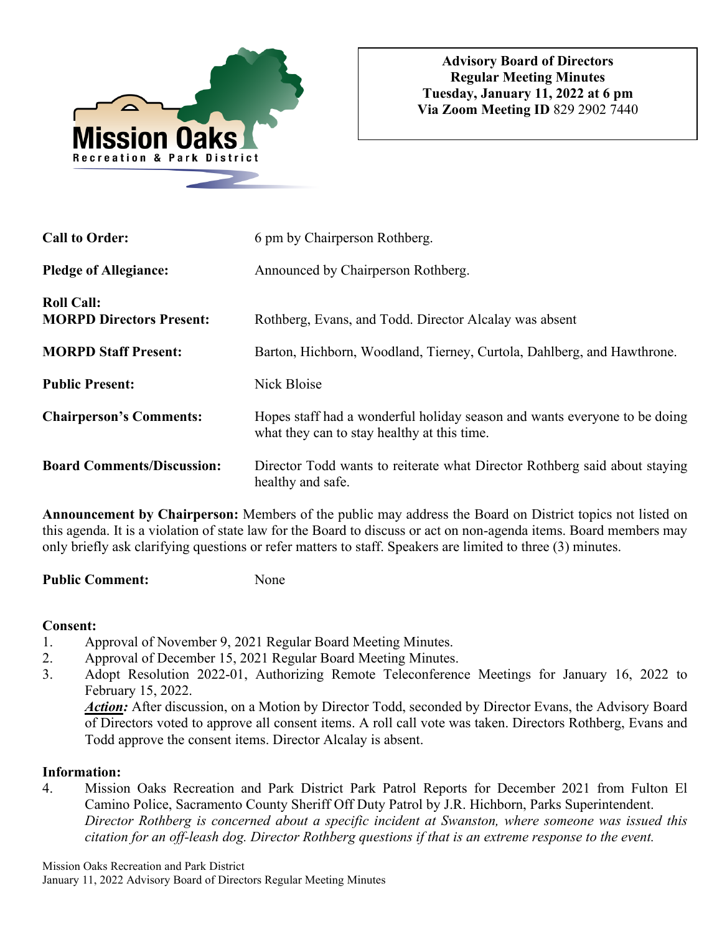

| <b>Call to Order:</b>                                | 6 pm by Chairperson Rothberg.                                                                                            |
|------------------------------------------------------|--------------------------------------------------------------------------------------------------------------------------|
| <b>Pledge of Allegiance:</b>                         | Announced by Chairperson Rothberg.                                                                                       |
| <b>Roll Call:</b><br><b>MORPD Directors Present:</b> | Rothberg, Evans, and Todd. Director Alcalay was absent                                                                   |
| <b>MORPD Staff Present:</b>                          | Barton, Hichborn, Woodland, Tierney, Curtola, Dahlberg, and Hawthrone.                                                   |
| <b>Public Present:</b>                               | Nick Bloise                                                                                                              |
| <b>Chairperson's Comments:</b>                       | Hopes staff had a wonderful holiday season and wants everyone to be doing<br>what they can to stay healthy at this time. |
| <b>Board Comments/Discussion:</b>                    | Director Todd wants to reiterate what Director Rothberg said about staying<br>healthy and safe.                          |

**Announcement by Chairperson:** Members of the public may address the Board on District topics not listed on this agenda. It is a violation of state law for the Board to discuss or act on non-agenda items. Board members may only briefly ask clarifying questions or refer matters to staff. Speakers are limited to three (3) minutes.

Public Comment: None

### **Consent:**

- 1. Approval of November 9, 2021 Regular Board Meeting Minutes.
- 2. Approval of December 15, 2021 Regular Board Meeting Minutes.
- 3. Adopt Resolution 2022-01, Authorizing Remote Teleconference Meetings for January 16, 2022 to February 15, 2022.

*Action:* After discussion, on a Motion by Director Todd, seconded by Director Evans, the Advisory Board of Directors voted to approve all consent items. A roll call vote was taken. Directors Rothberg, Evans and Todd approve the consent items. Director Alcalay is absent.

# **Information:**

4. Mission Oaks Recreation and Park District Park Patrol Reports for December 2021 from Fulton El Camino Police, Sacramento County Sheriff Off Duty Patrol by J.R. Hichborn, Parks Superintendent. *Director Rothberg is concerned about a specific incident at Swanston, where someone was issued this citation for an off-leash dog. Director Rothberg questions if that is an extreme response to the event.* 

Mission Oaks Recreation and Park District January 11, 2022 Advisory Board of Directors Regular Meeting Minutes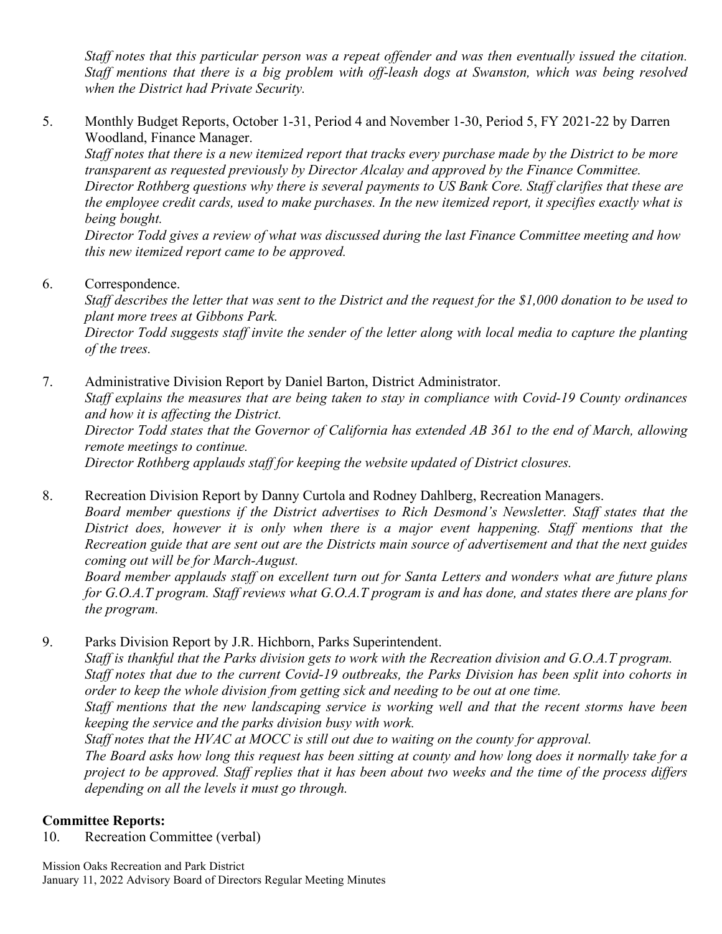*Staff notes that this particular person was a repeat offender and was then eventually issued the citation. Staff mentions that there is a big problem with off-leash dogs at Swanston, which was being resolved when the District had Private Security.* 

5. Monthly Budget Reports, October 1-31, Period 4 and November 1-30, Period 5, FY 2021-22 by Darren Woodland, Finance Manager.

*Staff notes that there is a new itemized report that tracks every purchase made by the District to be more transparent as requested previously by Director Alcalay and approved by the Finance Committee. Director Rothberg questions why there is several payments to US Bank Core. Staff clarifies that these are the employee credit cards, used to make purchases. In the new itemized report, it specifies exactly what is being bought.* 

 *Director Todd gives a review of what was discussed during the last Finance Committee meeting and how this new itemized report came to be approved.* 

6. Correspondence.

*Staff describes the letter that was sent to the District and the request for the \$1,000 donation to be used to plant more trees at Gibbons Park. Director Todd suggests staff invite the sender of the letter along with local media to capture the planting of the trees.* 

7. Administrative Division Report by Daniel Barton, District Administrator. *Staff explains the measures that are being taken to stay in compliance with Covid-19 County ordinances and how it is affecting the District. Director Todd states that the Governor of California has extended AB 361 to the end of March, allowing remote meetings to continue.* 

*Director Rothberg applauds staff for keeping the website updated of District closures.* 

8. Recreation Division Report by Danny Curtola and Rodney Dahlberg, Recreation Managers.

*Board member questions if the District advertises to Rich Desmond's Newsletter. Staff states that the District does, however it is only when there is a major event happening. Staff mentions that the Recreation guide that are sent out are the Districts main source of advertisement and that the next guides coming out will be for March-August.* 

 *Board member applauds staff on excellent turn out for Santa Letters and wonders what are future plans for G.O.A.T program. Staff reviews what G.O.A.T program is and has done, and states there are plans for the program.* 

9. Parks Division Report by J.R. Hichborn, Parks Superintendent.

*Staff is thankful that the Parks division gets to work with the Recreation division and G.O.A.T program. Staff notes that due to the current Covid-19 outbreaks, the Parks Division has been split into cohorts in order to keep the whole division from getting sick and needing to be out at one time. Staff mentions that the new landscaping service is working well and that the recent storms have been keeping the service and the parks division busy with work.* 

*Staff notes that the HVAC at MOCC is still out due to waiting on the county for approval.* 

*The Board asks how long this request has been sitting at county and how long does it normally take for a project to be approved. Staff replies that it has been about two weeks and the time of the process differs depending on all the levels it must go through.* 

# **Committee Reports:**

10. Recreation Committee (verbal)

Mission Oaks Recreation and Park District January 11, 2022 Advisory Board of Directors Regular Meeting Minutes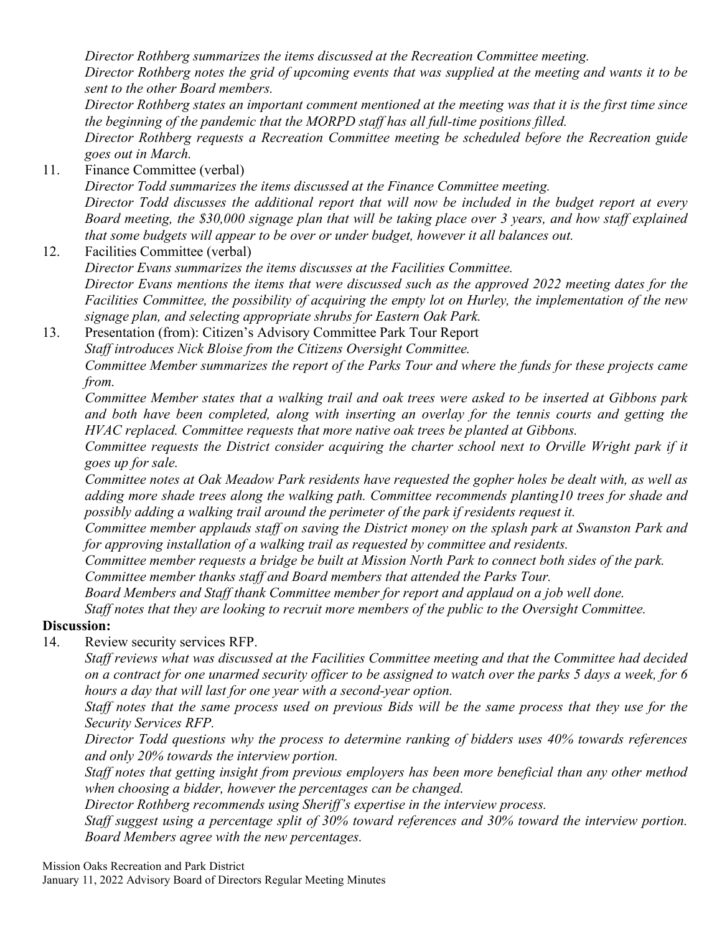*Director Rothberg summarizes the items discussed at the Recreation Committee meeting. Director Rothberg notes the grid of upcoming events that was supplied at the meeting and wants it to be sent to the other Board members.* 

*Director Rothberg states an important comment mentioned at the meeting was that it is the first time since the beginning of the pandemic that the MORPD staff has all full-time positions filled.* 

*Director Rothberg requests a Recreation Committee meeting be scheduled before the Recreation guide goes out in March.* 

11. Finance Committee (verbal)

*Director Todd summarizes the items discussed at the Finance Committee meeting. Director Todd discusses the additional report that will now be included in the budget report at every Board meeting, the \$30,000 signage plan that will be taking place over 3 years, and how staff explained that some budgets will appear to be over or under budget, however it all balances out.* 

12. Facilities Committee (verbal)

*Director Evans summarizes the items discusses at the Facilities Committee.*

*Director Evans mentions the items that were discussed such as the approved 2022 meeting dates for the Facilities Committee, the possibility of acquiring the empty lot on Hurley, the implementation of the new signage plan, and selecting appropriate shrubs for Eastern Oak Park.* 

13. Presentation (from): Citizen's Advisory Committee Park Tour Report *Staff introduces Nick Bloise from the Citizens Oversight Committee. Committee Member summarizes the report of the Parks Tour and where the funds for these projects came from.* 

*Committee Member states that a walking trail and oak trees were asked to be inserted at Gibbons park and both have been completed, along with inserting an overlay for the tennis courts and getting the HVAC replaced. Committee requests that more native oak trees be planted at Gibbons.* 

*Committee requests the District consider acquiring the charter school next to Orville Wright park if it goes up for sale.* 

*Committee notes at Oak Meadow Park residents have requested the gopher holes be dealt with, as well as adding more shade trees along the walking path. Committee recommends planting10 trees for shade and possibly adding a walking trail around the perimeter of the park if residents request it.* 

*Committee member applauds staff on saving the District money on the splash park at Swanston Park and for approving installation of a walking trail as requested by committee and residents.* 

*Committee member requests a bridge be built at Mission North Park to connect both sides of the park. Committee member thanks staff and Board members that attended the Parks Tour.* 

*Board Members and Staff thank Committee member for report and applaud on a job well done.* 

*Staff notes that they are looking to recruit more members of the public to the Oversight Committee.* 

# **Discussion:**

14. Review security services RFP.

*Staff reviews what was discussed at the Facilities Committee meeting and that the Committee had decided on a contract for one unarmed security officer to be assigned to watch over the parks 5 days a week, for 6 hours a day that will last for one year with a second-year option.* 

*Staff notes that the same process used on previous Bids will be the same process that they use for the Security Services RFP.*

*Director Todd questions why the process to determine ranking of bidders uses 40% towards references and only 20% towards the interview portion.*

*Staff notes that getting insight from previous employers has been more beneficial than any other method when choosing a bidder, however the percentages can be changed.* 

*Director Rothberg recommends using Sheriff's expertise in the interview process.* 

*Staff suggest using a percentage split of 30% toward references and 30% toward the interview portion. Board Members agree with the new percentages.* 

Mission Oaks Recreation and Park District

January 11, 2022 Advisory Board of Directors Regular Meeting Minutes